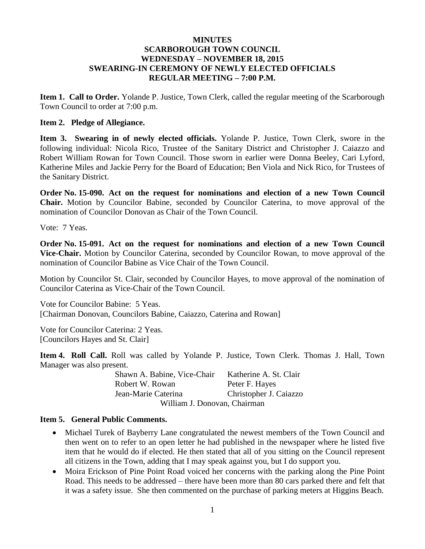### **MINUTES SCARBOROUGH TOWN COUNCIL WEDNESDAY – NOVEMBER 18, 2015 SWEARING-IN CEREMONY OF NEWLY ELECTED OFFICIALS REGULAR MEETING – 7:00 P.M.**

**Item 1. Call to Order.** Yolande P. Justice, Town Clerk, called the regular meeting of the Scarborough Town Council to order at 7:00 p.m.

#### **Item 2. Pledge of Allegiance.**

**Item 3. Swearing in of newly elected officials.** Yolande P. Justice, Town Clerk, swore in the following individual: Nicola Rico, Trustee of the Sanitary District and Christopher J. Caiazzo and Robert William Rowan for Town Council. Those sworn in earlier were Donna Beeley, Cari Lyford, Katherine Miles and Jackie Perry for the Board of Education; Ben Viola and Nick Rico, for Trustees of the Sanitary District.

**Order No. 15-090. Act on the request for nominations and election of a new Town Council Chair.** Motion by Councilor Babine, seconded by Councilor Caterina, to move approval of the nomination of Councilor Donovan as Chair of the Town Council.

Vote: 7 Yeas.

**Order No. 15-091. Act on the request for nominations and election of a new Town Council Vice-Chair.** Motion by Councilor Caterina, seconded by Councilor Rowan, to move approval of the nomination of Councilor Babine as Vice Chair of the Town Council.

Motion by Councilor St. Clair, seconded by Councilor Hayes, to move approval of the nomination of Councilor Caterina as Vice-Chair of the Town Council.

Vote for Councilor Babine: 5 Yeas. [Chairman Donovan, Councilors Babine, Caiazzo, Caterina and Rowan]

Vote for Councilor Caterina: 2 Yeas. [Councilors Hayes and St. Clair]

**Item 4. Roll Call.** Roll was called by Yolande P. Justice, Town Clerk. Thomas J. Hall, Town Manager was also present.

> Shawn A. Babine, Vice-Chair Katherine A. St. Clair Robert W. Rowan Peter F. Hayes Jean-Marie Caterina Christopher J. Caiazzo William J. Donovan, Chairman

#### **Item 5. General Public Comments.**

- Michael Turek of Bayberry Lane congratulated the newest members of the Town Council and then went on to refer to an open letter he had published in the newspaper where he listed five item that he would do if elected. He then stated that all of you sitting on the Council represent all citizens in the Town, adding that I may speak against you, but I do support you.
- Moira Erickson of Pine Point Road voiced her concerns with the parking along the Pine Point Road. This needs to be addressed – there have been more than 80 cars parked there and felt that it was a safety issue. She then commented on the purchase of parking meters at Higgins Beach.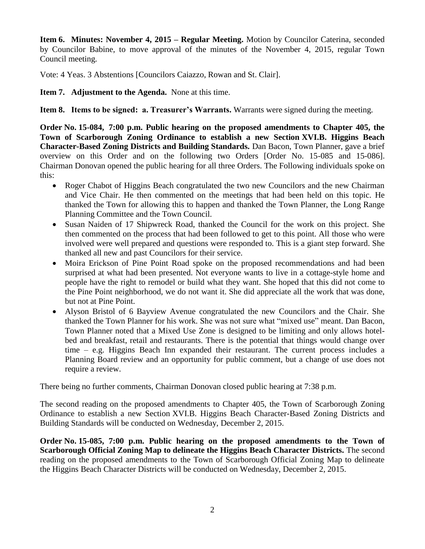**Item 6. Minutes: November 4, 2015 – Regular Meeting.** Motion by Councilor Caterina, seconded by Councilor Babine, to move approval of the minutes of the November 4, 2015, regular Town Council meeting.

Vote: 4 Yeas. 3 Abstentions [Councilors Caiazzo, Rowan and St. Clair].

**Item 7. Adjustment to the Agenda.** None at this time.

**Item 8. Items to be signed: a. Treasurer's Warrants.** Warrants were signed during the meeting.

**Order No. 15-084, 7:00 p.m. Public hearing on the proposed amendments to Chapter 405, the Town of Scarborough Zoning Ordinance to establish a new Section XVI.B. Higgins Beach Character-Based Zoning Districts and Building Standards.** Dan Bacon, Town Planner, gave a brief overview on this Order and on the following two Orders [Order No. 15-085 and 15-086]. Chairman Donovan opened the public hearing for all three Orders. The Following individuals spoke on this:

- Roger Chabot of Higgins Beach congratulated the two new Councilors and the new Chairman and Vice Chair. He then commented on the meetings that had been held on this topic. He thanked the Town for allowing this to happen and thanked the Town Planner, the Long Range Planning Committee and the Town Council.
- Susan Naiden of 17 Shipwreck Road, thanked the Council for the work on this project. She then commented on the process that had been followed to get to this point. All those who were involved were well prepared and questions were responded to. This is a giant step forward. She thanked all new and past Councilors for their service.
- Moira Erickson of Pine Point Road spoke on the proposed recommendations and had been surprised at what had been presented. Not everyone wants to live in a cottage-style home and people have the right to remodel or build what they want. She hoped that this did not come to the Pine Point neighborhood, we do not want it. She did appreciate all the work that was done, but not at Pine Point.
- Alyson Bristol of 6 Bayview Avenue congratulated the new Councilors and the Chair. She thanked the Town Planner for his work. She was not sure what "mixed use" meant. Dan Bacon, Town Planner noted that a Mixed Use Zone is designed to be limiting and only allows hotelbed and breakfast, retail and restaurants. There is the potential that things would change over time – e.g. Higgins Beach Inn expanded their restaurant. The current process includes a Planning Board review and an opportunity for public comment, but a change of use does not require a review.

There being no further comments, Chairman Donovan closed public hearing at 7:38 p.m.

The second reading on the proposed amendments to Chapter 405, the Town of Scarborough Zoning Ordinance to establish a new Section XVI.B. Higgins Beach Character-Based Zoning Districts and Building Standards will be conducted on Wednesday, December 2, 2015.

**Order No. 15-085, 7:00 p.m. Public hearing on the proposed amendments to the Town of Scarborough Official Zoning Map to delineate the Higgins Beach Character Districts.** The second reading on the proposed amendments to the Town of Scarborough Official Zoning Map to delineate the Higgins Beach Character Districts will be conducted on Wednesday, December 2, 2015.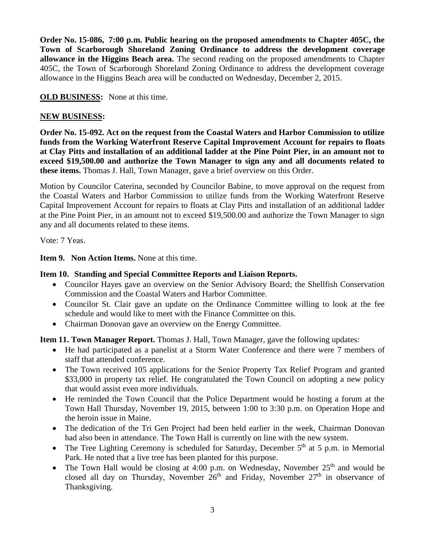**Order No. 15-086, 7:00 p.m. Public hearing on the proposed amendments to Chapter 405C, the Town of Scarborough Shoreland Zoning Ordinance to address the development coverage allowance in the Higgins Beach area.** The second reading on the proposed amendments to Chapter 405C, the Town of Scarborough Shoreland Zoning Ordinance to address the development coverage allowance in the Higgins Beach area will be conducted on Wednesday, December 2, 2015.

**OLD BUSINESS:** None at this time.

# **NEW BUSINESS:**

**Order No. 15-092. Act on the request from the Coastal Waters and Harbor Commission to utilize funds from the Working Waterfront Reserve Capital Improvement Account for repairs to floats at Clay Pitts and installation of an additional ladder at the Pine Point Pier, in an amount not to exceed \$19,500.00 and authorize the Town Manager to sign any and all documents related to these items.** Thomas J. Hall, Town Manager, gave a brief overview on this Order.

Motion by Councilor Caterina, seconded by Councilor Babine, to move approval on the request from the Coastal Waters and Harbor Commission to utilize funds from the Working Waterfront Reserve Capital Improvement Account for repairs to floats at Clay Pitts and installation of an additional ladder at the Pine Point Pier, in an amount not to exceed \$19,500.00 and authorize the Town Manager to sign any and all documents related to these items.

Vote: 7 Yeas.

**Item 9. Non Action Items.** None at this time.

## **Item 10. Standing and Special Committee Reports and Liaison Reports.**

- Councilor Hayes gave an overview on the Senior Advisory Board; the Shellfish Conservation Commission and the Coastal Waters and Harbor Committee.
- Councilor St. Clair gave an update on the Ordinance Committee willing to look at the fee schedule and would like to meet with the Finance Committee on this.
- Chairman Donovan gave an overview on the Energy Committee.

**Item 11. Town Manager Report.** Thomas J. Hall, Town Manager, gave the following updates:

- He had participated as a panelist at a Storm Water Conference and there were 7 members of staff that attended conference.
- The Town received 105 applications for the Senior Property Tax Relief Program and granted \$33,000 in property tax relief. He congratulated the Town Council on adopting a new policy that would assist even more individuals.
- He reminded the Town Council that the Police Department would be hosting a forum at the Town Hall Thursday, November 19, 2015, between 1:00 to 3:30 p.m. on Operation Hope and the heroin issue in Maine.
- The dedication of the Tri Gen Project had been held earlier in the week, Chairman Donovan had also been in attendance. The Town Hall is currently on line with the new system.
- The Tree Lighting Ceremony is scheduled for Saturday, December  $5<sup>th</sup>$  at 5 p.m. in Memorial Park. He noted that a live tree has been planted for this purpose.
- The Town Hall would be closing at 4:00 p.m. on Wednesday, November  $25<sup>th</sup>$  and would be closed all day on Thursday, November  $26<sup>th</sup>$  and Friday, November  $27<sup>th</sup>$  in observance of Thanksgiving.